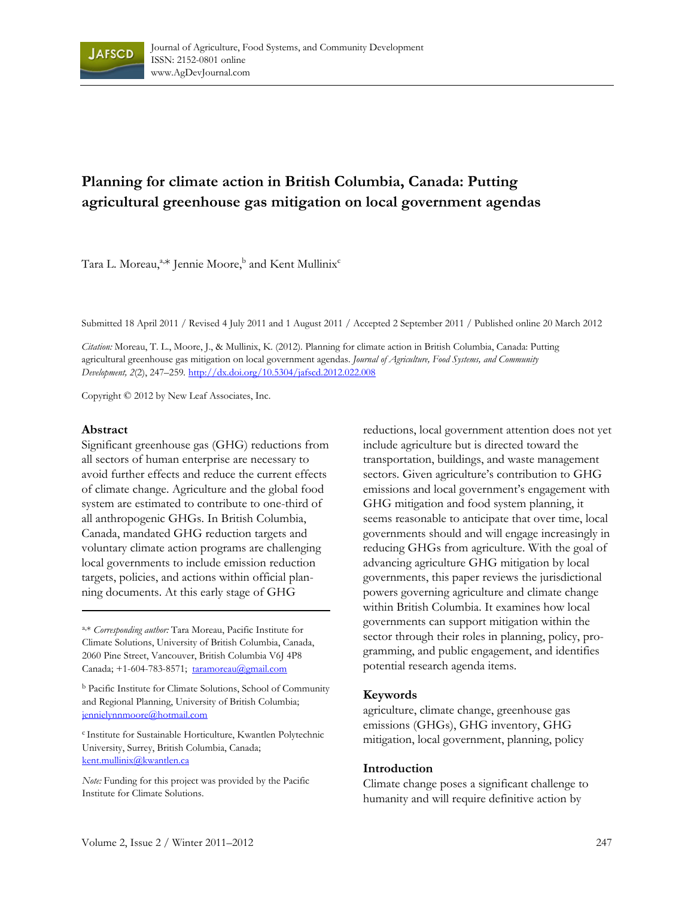

# **Planning for climate action in British Columbia, Canada: Putting agricultural greenhouse gas mitigation on local government agendas**

Tara L. Moreau,<sup>a,\*</sup> Jennie Moore,<sup>b</sup> and Kent Mullinix<sup>c</sup>

Submitted 18 April 2011 / Revised 4 July 2011 and 1 August 2011 / Accepted 2 September 2011 / Published online 20 March 2012

*Citation:* Moreau, T. L., Moore, J., & Mullinix, K. (2012). Planning for climate action in British Columbia, Canada: Putting agricultural greenhouse gas mitigation on local government agendas. *Journal of Agriculture, Food Systems, and Community Development, 2*(2), 247–259*.* http://dx.doi.org/10.5304/jafscd.2012.022.008

Copyright © 2012 by New Leaf Associates, Inc.

#### **Abstract**

Significant greenhouse gas (GHG) reductions from all sectors of human enterprise are necessary to avoid further effects and reduce the current effects of climate change. Agriculture and the global food system are estimated to contribute to one-third of all anthropogenic GHGs. In British Columbia, Canada, mandated GHG reduction targets and voluntary climate action programs are challenging local governments to include emission reduction targets, policies, and actions within official planning documents. At this early stage of GHG

a,\* *Corresponding author:* Tara Moreau, Pacific Institute for Climate Solutions, University of British Columbia, Canada, 2060 Pine Street, Vancouver, British Columbia V6J 4P8 Canada; +1-604-783-8571; taramoreau@gmail.com

b Pacific Institute for Climate Solutions, School of Community and Regional Planning, University of British Columbia; jennielynnmoore@hotmail.com

<sup>c</sup> Institute for Sustainable Horticulture, Kwantlen Polytechnic University, Surrey, British Columbia, Canada; kent.mullinix@kwantlen.ca

*Note:* Funding for this project was provided by the Pacific Institute for Climate Solutions.

reductions, local government attention does not yet include agriculture but is directed toward the transportation, buildings, and waste management sectors. Given agriculture's contribution to GHG emissions and local government's engagement with GHG mitigation and food system planning, it seems reasonable to anticipate that over time, local governments should and will engage increasingly in reducing GHGs from agriculture. With the goal of advancing agriculture GHG mitigation by local governments, this paper reviews the jurisdictional powers governing agriculture and climate change within British Columbia. It examines how local governments can support mitigation within the sector through their roles in planning, policy, programming, and public engagement, and identifies potential research agenda items.

#### **Keywords**

agriculture, climate change, greenhouse gas emissions (GHGs), GHG inventory, GHG mitigation, local government, planning, policy

#### **Introduction**

Climate change poses a significant challenge to humanity and will require definitive action by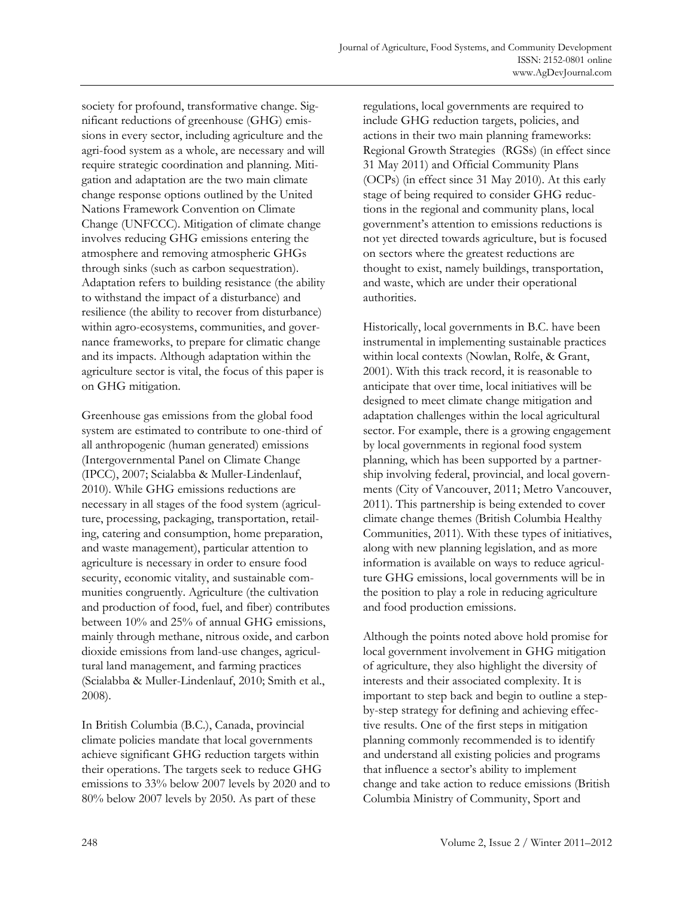society for profound, transformative change. Significant reductions of greenhouse (GHG) emissions in every sector, including agriculture and the agri-food system as a whole, are necessary and will require strategic coordination and planning. Mitigation and adaptation are the two main climate change response options outlined by the United Nations Framework Convention on Climate Change (UNFCCC). Mitigation of climate change involves reducing GHG emissions entering the atmosphere and removing atmospheric GHGs through sinks (such as carbon sequestration). Adaptation refers to building resistance (the ability to withstand the impact of a disturbance) and resilience (the ability to recover from disturbance) within agro-ecosystems, communities, and governance frameworks, to prepare for climatic change and its impacts. Although adaptation within the agriculture sector is vital, the focus of this paper is on GHG mitigation.

Greenhouse gas emissions from the global food system are estimated to contribute to one-third of all anthropogenic (human generated) emissions (Intergovernmental Panel on Climate Change (IPCC), 2007; Scialabba & Muller-Lindenlauf, 2010). While GHG emissions reductions are necessary in all stages of the food system (agriculture, processing, packaging, transportation, retailing, catering and consumption, home preparation, and waste management), particular attention to agriculture is necessary in order to ensure food security, economic vitality, and sustainable communities congruently. Agriculture (the cultivation and production of food, fuel, and fiber) contributes between 10% and 25% of annual GHG emissions, mainly through methane, nitrous oxide, and carbon dioxide emissions from land-use changes, agricultural land management, and farming practices (Scialabba & Muller-Lindenlauf, 2010; Smith et al., 2008).

In British Columbia (B.C.), Canada, provincial climate policies mandate that local governments achieve significant GHG reduction targets within their operations. The targets seek to reduce GHG emissions to 33% below 2007 levels by 2020 and to 80% below 2007 levels by 2050. As part of these

regulations, local governments are required to include GHG reduction targets, policies, and actions in their two main planning frameworks: Regional Growth Strategies (RGSs) (in effect since 31 May 2011) and Official Community Plans (OCPs) (in effect since 31 May 2010). At this early stage of being required to consider GHG reductions in the regional and community plans, local government's attention to emissions reductions is not yet directed towards agriculture, but is focused on sectors where the greatest reductions are thought to exist, namely buildings, transportation, and waste, which are under their operational authorities.

Historically, local governments in B.C. have been instrumental in implementing sustainable practices within local contexts (Nowlan, Rolfe, & Grant, 2001). With this track record, it is reasonable to anticipate that over time, local initiatives will be designed to meet climate change mitigation and adaptation challenges within the local agricultural sector. For example, there is a growing engagement by local governments in regional food system planning, which has been supported by a partnership involving federal, provincial, and local governments (City of Vancouver, 2011; Metro Vancouver, 2011). This partnership is being extended to cover climate change themes (British Columbia Healthy Communities, 2011). With these types of initiatives, along with new planning legislation, and as more information is available on ways to reduce agriculture GHG emissions, local governments will be in the position to play a role in reducing agriculture and food production emissions.

Although the points noted above hold promise for local government involvement in GHG mitigation of agriculture, they also highlight the diversity of interests and their associated complexity. It is important to step back and begin to outline a stepby-step strategy for defining and achieving effective results. One of the first steps in mitigation planning commonly recommended is to identify and understand all existing policies and programs that influence a sector's ability to implement change and take action to reduce emissions (British Columbia Ministry of Community, Sport and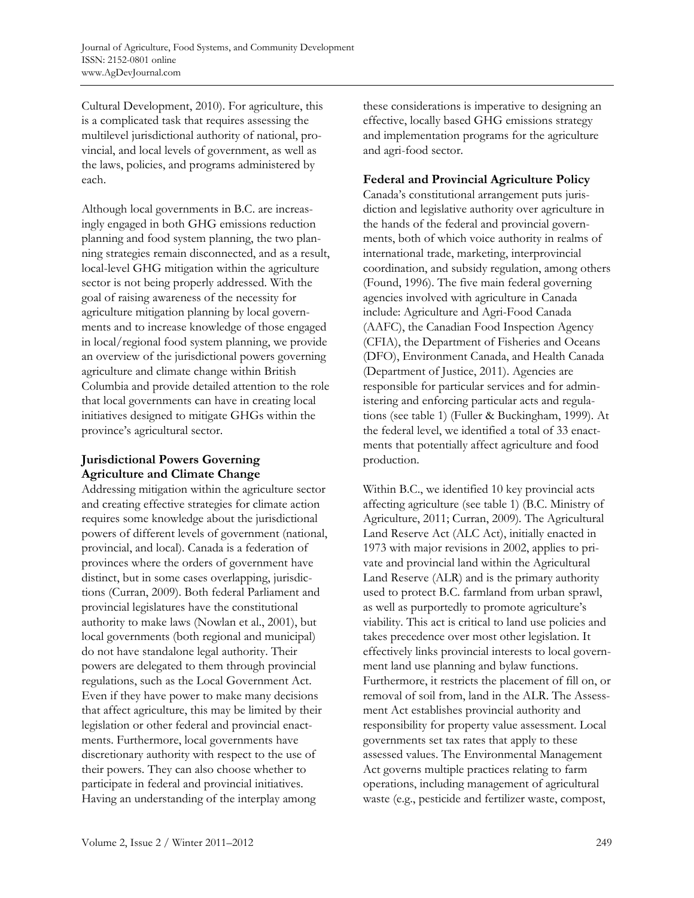Cultural Development, 2010). For agriculture, this is a complicated task that requires assessing the multilevel jurisdictional authority of national, provincial, and local levels of government, as well as the laws, policies, and programs administered by each.

Although local governments in B.C. are increasingly engaged in both GHG emissions reduction planning and food system planning, the two planning strategies remain disconnected, and as a result, local-level GHG mitigation within the agriculture sector is not being properly addressed. With the goal of raising awareness of the necessity for agriculture mitigation planning by local governments and to increase knowledge of those engaged in local/regional food system planning, we provide an overview of the jurisdictional powers governing agriculture and climate change within British Columbia and provide detailed attention to the role that local governments can have in creating local initiatives designed to mitigate GHGs within the province's agricultural sector.

# **Jurisdictional Powers Governing Agriculture and Climate Change**

Addressing mitigation within the agriculture sector and creating effective strategies for climate action requires some knowledge about the jurisdictional powers of different levels of government (national, provincial, and local). Canada is a federation of provinces where the orders of government have distinct, but in some cases overlapping, jurisdictions (Curran, 2009). Both federal Parliament and provincial legislatures have the constitutional authority to make laws (Nowlan et al., 2001), but local governments (both regional and municipal) do not have standalone legal authority. Their powers are delegated to them through provincial regulations, such as the Local Government Act. Even if they have power to make many decisions that affect agriculture, this may be limited by their legislation or other federal and provincial enactments. Furthermore, local governments have discretionary authority with respect to the use of their powers. They can also choose whether to participate in federal and provincial initiatives. Having an understanding of the interplay among

these considerations is imperative to designing an effective, locally based GHG emissions strategy and implementation programs for the agriculture and agri-food sector.

### **Federal and Provincial Agriculture Policy**

Canada's constitutional arrangement puts jurisdiction and legislative authority over agriculture in the hands of the federal and provincial governments, both of which voice authority in realms of international trade, marketing, interprovincial coordination, and subsidy regulation, among others (Found, 1996). The five main federal governing agencies involved with agriculture in Canada include: Agriculture and Agri-Food Canada (AAFC), the Canadian Food Inspection Agency (CFIA), the Department of Fisheries and Oceans (DFO), Environment Canada, and Health Canada (Department of Justice, 2011). Agencies are responsible for particular services and for administering and enforcing particular acts and regulations (see table 1) (Fuller & Buckingham, 1999). At the federal level, we identified a total of 33 enactments that potentially affect agriculture and food production.

Within B.C., we identified 10 key provincial acts affecting agriculture (see table 1) (B.C. Ministry of Agriculture, 2011; Curran, 2009)*.* The Agricultural Land Reserve Act (ALC Act), initially enacted in 1973 with major revisions in 2002, applies to private and provincial land within the Agricultural Land Reserve (ALR) and is the primary authority used to protect B.C. farmland from urban sprawl, as well as purportedly to promote agriculture's viability. This act is critical to land use policies and takes precedence over most other legislation. It effectively links provincial interests to local government land use planning and bylaw functions. Furthermore, it restricts the placement of fill on, or removal of soil from, land in the ALR. The Assessment Act establishes provincial authority and responsibility for property value assessment. Local governments set tax rates that apply to these assessed values. The Environmental Management Act governs multiple practices relating to farm operations, including management of agricultural waste (e.g., pesticide and fertilizer waste, compost,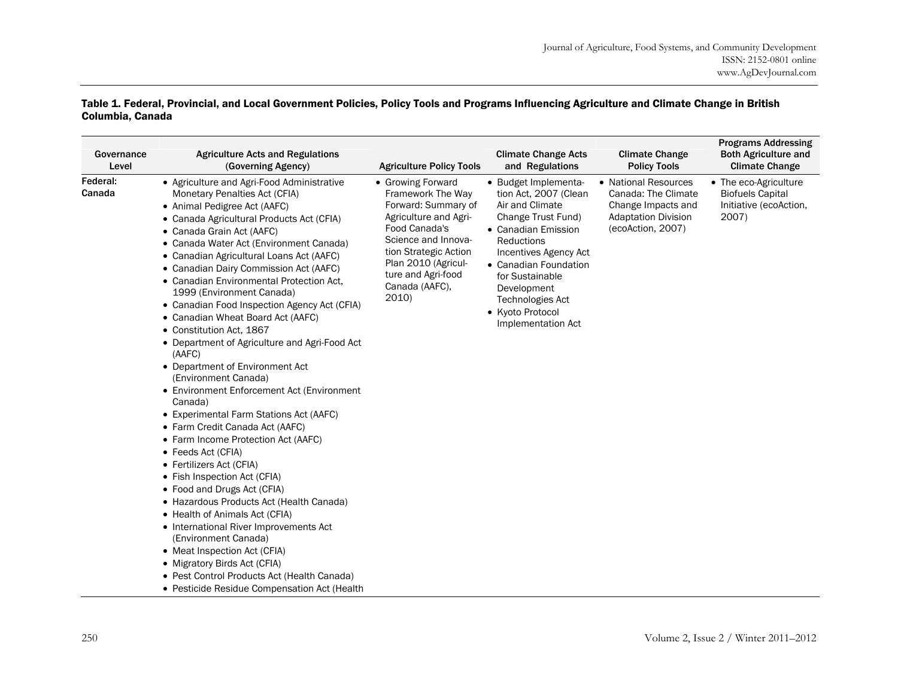#### Table 1. Federal, Provincial, and Local Government Policies, Policy Tools and Programs Influencing Agriculture and Climate Change in British Columbia, Canada

| Governance<br>Level | <b>Agriculture Acts and Regulations</b><br>(Governing Agency)                                                                                                                                                                                                                                                                                                                                                                                                                                                                                                                                                                                                                                                                                                                                                                                                                                                                                                                                                                                                                                                                                                                                                                                        | <b>Agriculture Policy Tools</b>                                                                                                                                                                                                 | <b>Climate Change Acts</b><br>and Regulations                                                                                                                                                                                                                                        | <b>Climate Change</b><br><b>Policy Tools</b>                                                                         | <b>Programs Addressing</b><br><b>Both Agriculture and</b><br><b>Climate Change</b>  |
|---------------------|------------------------------------------------------------------------------------------------------------------------------------------------------------------------------------------------------------------------------------------------------------------------------------------------------------------------------------------------------------------------------------------------------------------------------------------------------------------------------------------------------------------------------------------------------------------------------------------------------------------------------------------------------------------------------------------------------------------------------------------------------------------------------------------------------------------------------------------------------------------------------------------------------------------------------------------------------------------------------------------------------------------------------------------------------------------------------------------------------------------------------------------------------------------------------------------------------------------------------------------------------|---------------------------------------------------------------------------------------------------------------------------------------------------------------------------------------------------------------------------------|--------------------------------------------------------------------------------------------------------------------------------------------------------------------------------------------------------------------------------------------------------------------------------------|----------------------------------------------------------------------------------------------------------------------|-------------------------------------------------------------------------------------|
| Federal:<br>Canada  | • Agriculture and Agri-Food Administrative<br>Monetary Penalties Act (CFIA)<br>• Animal Pedigree Act (AAFC)<br>• Canada Agricultural Products Act (CFIA)<br>• Canada Grain Act (AAFC)<br>• Canada Water Act (Environment Canada)<br>• Canadian Agricultural Loans Act (AAFC)<br>• Canadian Dairy Commission Act (AAFC)<br>• Canadian Environmental Protection Act,<br>1999 (Environment Canada)<br>• Canadian Food Inspection Agency Act (CFIA)<br>• Canadian Wheat Board Act (AAFC)<br>• Constitution Act, 1867<br>• Department of Agriculture and Agri-Food Act<br>(AAFC)<br>• Department of Environment Act<br>(Environment Canada)<br>• Environment Enforcement Act (Environment<br>Canada)<br>• Experimental Farm Stations Act (AAFC)<br>• Farm Credit Canada Act (AAFC)<br>• Farm Income Protection Act (AAFC)<br>• Feeds Act (CFIA)<br>• Fertilizers Act (CFIA)<br>• Fish Inspection Act (CFIA)<br>• Food and Drugs Act (CFIA)<br>• Hazardous Products Act (Health Canada)<br>• Health of Animals Act (CFIA)<br>• International River Improvements Act<br>(Environment Canada)<br>• Meat Inspection Act (CFIA)<br>• Migratory Birds Act (CFIA)<br>• Pest Control Products Act (Health Canada)<br>• Pesticide Residue Compensation Act (Health | • Growing Forward<br>Framework The Way<br>Forward: Summary of<br>Agriculture and Agri-<br>Food Canada's<br>Science and Innova-<br>tion Strategic Action<br>Plan 2010 (Agricul-<br>ture and Agri-food<br>Canada (AAFC),<br>2010) | • Budget Implementa-<br>tion Act, 2007 (Clean<br>Air and Climate<br>Change Trust Fund)<br>• Canadian Emission<br><b>Reductions</b><br>Incentives Agency Act<br>• Canadian Foundation<br>for Sustainable<br>Development<br>Technologies Act<br>• Kyoto Protocol<br>Implementation Act | • National Resources<br>Canada: The Climate<br>Change Impacts and<br><b>Adaptation Division</b><br>(ecoAction, 2007) | • The eco-Agriculture<br><b>Biofuels Capital</b><br>Initiative (ecoAction,<br>2007) |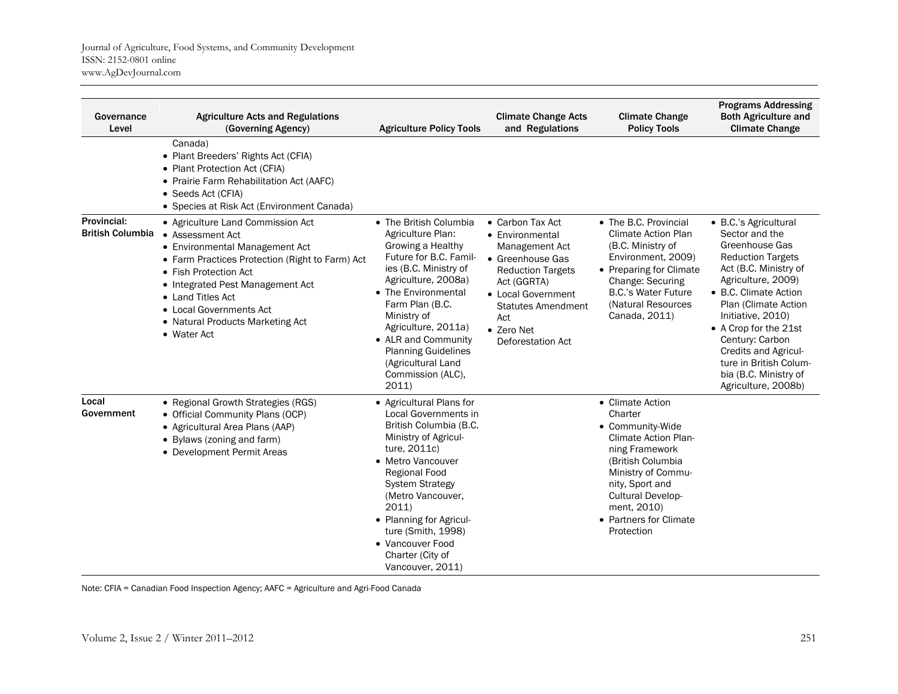| Governance<br>Level                    | <b>Agriculture Acts and Regulations</b><br>(Governing Agency)                                                                                                                                                                                                                                              | <b>Agriculture Policy Tools</b>                                                                                                                                                                                                                                                                                                     | <b>Climate Change Acts</b><br>and Regulations                                                                                                                                                                     | <b>Climate Change</b><br><b>Policy Tools</b>                                                                                                                                                                                               | <b>Programs Addressing</b><br><b>Both Agriculture and</b><br><b>Climate Change</b>                                                                                                                                                                                                                                                                              |
|----------------------------------------|------------------------------------------------------------------------------------------------------------------------------------------------------------------------------------------------------------------------------------------------------------------------------------------------------------|-------------------------------------------------------------------------------------------------------------------------------------------------------------------------------------------------------------------------------------------------------------------------------------------------------------------------------------|-------------------------------------------------------------------------------------------------------------------------------------------------------------------------------------------------------------------|--------------------------------------------------------------------------------------------------------------------------------------------------------------------------------------------------------------------------------------------|-----------------------------------------------------------------------------------------------------------------------------------------------------------------------------------------------------------------------------------------------------------------------------------------------------------------------------------------------------------------|
|                                        | Canada)<br>• Plant Breeders' Rights Act (CFIA)<br>• Plant Protection Act (CFIA)<br>• Prairie Farm Rehabilitation Act (AAFC)<br>• Seeds Act (CFIA)<br>• Species at Risk Act (Environment Canada)                                                                                                            |                                                                                                                                                                                                                                                                                                                                     |                                                                                                                                                                                                                   |                                                                                                                                                                                                                                            |                                                                                                                                                                                                                                                                                                                                                                 |
| Provincial:<br><b>British Columbia</b> | • Agriculture Land Commission Act<br>• Assessment Act<br>• Environmental Management Act<br>• Farm Practices Protection (Right to Farm) Act<br>• Fish Protection Act<br>• Integrated Pest Management Act<br>• Land Titles Act<br>• Local Governments Act<br>• Natural Products Marketing Act<br>• Water Act | • The British Columbia<br>Agriculture Plan:<br>Growing a Healthy<br>Future for B.C. Famil-<br>ies (B.C. Ministry of<br>Agriculture, 2008a)<br>• The Environmental<br>Farm Plan (B.C.<br>Ministry of<br>Agriculture, 2011a)<br>• ALR and Community<br><b>Planning Guidelines</b><br>(Agricultural Land<br>Commission (ALC),<br>2011) | • Carbon Tax Act<br>• Environmental<br>Management Act<br>• Greenhouse Gas<br><b>Reduction Targets</b><br>Act (GGRTA)<br>• Local Government<br><b>Statutes Amendment</b><br>Act<br>• Zero Net<br>Deforestation Act | • The B.C. Provincial<br><b>Climate Action Plan</b><br>(B.C. Ministry of<br>Environment, 2009)<br>• Preparing for Climate<br><b>Change: Securing</b><br><b>B.C.'s Water Future</b><br>(Natural Resources<br>Canada, 2011)                  | • B.C.'s Agricultural<br>Sector and the<br>Greenhouse Gas<br><b>Reduction Targets</b><br>Act (B.C. Ministry of<br>Agriculture, 2009)<br>• B.C. Climate Action<br>Plan (Climate Action<br>Initiative, 2010)<br>• A Crop for the 21st<br>Century: Carbon<br><b>Credits and Agricul-</b><br>ture in British Colum-<br>bia (B.C. Ministry of<br>Agriculture, 2008b) |
| Local<br>Government                    | • Regional Growth Strategies (RGS)<br>• Official Community Plans (OCP)<br>• Agricultural Area Plans (AAP)<br>• Bylaws (zoning and farm)<br>• Development Permit Areas                                                                                                                                      | • Agricultural Plans for<br>Local Governments in<br>British Columbia (B.C.<br>Ministry of Agricul-<br>ture, 2011c)<br>• Metro Vancouver<br>Regional Food<br><b>System Strategy</b><br>(Metro Vancouver,<br>2011)<br>• Planning for Agricul-<br>ture (Smith, 1998)<br>• Vancouver Food<br>Charter (City of<br>Vancouver, 2011)       |                                                                                                                                                                                                                   | • Climate Action<br>Charter<br>• Community-Wide<br><b>Climate Action Plan-</b><br>ning Framework<br>(British Columbia<br>Ministry of Commu-<br>nity, Sport and<br>Cultural Develop-<br>ment, 2010)<br>• Partners for Climate<br>Protection |                                                                                                                                                                                                                                                                                                                                                                 |

Note: CFIA = Canadian Food Inspection Agency; AAFC = Agriculture and Agri-Food Canada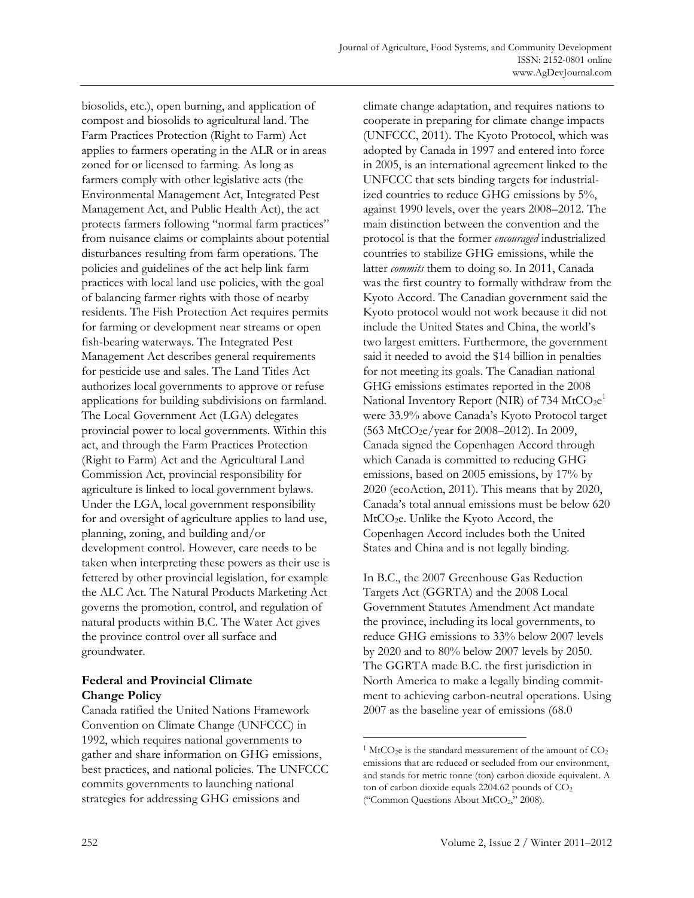biosolids, etc.), open burning, and application of compost and biosolids to agricultural land. The Farm Practices Protection (Right to Farm) Act applies to farmers operating in the ALR or in areas zoned for or licensed to farming. As long as farmers comply with other legislative acts (the Environmental Management Act, Integrated Pest Management Act, and Public Health Act), the act protects farmers following "normal farm practices" from nuisance claims or complaints about potential disturbances resulting from farm operations. The policies and guidelines of the act help link farm practices with local land use policies, with the goal of balancing farmer rights with those of nearby residents. The Fish Protection Act requires permits for farming or development near streams or open fish-bearing waterways. The Integrated Pest Management Act describes general requirements for pesticide use and sales. The Land Titles Act authorizes local governments to approve or refuse applications for building subdivisions on farmland. The Local Government Act (LGA) delegates provincial power to local governments. Within this act, and through the Farm Practices Protection (Right to Farm) Act and the Agricultural Land Commission Act, provincial responsibility for agriculture is linked to local government bylaws. Under the LGA, local government responsibility for and oversight of agriculture applies to land use, planning, zoning, and building and/or development control. However, care needs to be taken when interpreting these powers as their use is fettered by other provincial legislation, for example the ALC Act. The Natural Products Marketing Act governs the promotion, control, and regulation of natural products within B.C. The Water Act gives the province control over all surface and groundwater.

# **Federal and Provincial Climate Change Policy**

Canada ratified the United Nations Framework Convention on Climate Change (UNFCCC) in 1992, which requires national governments to gather and share information on GHG emissions, best practices, and national policies. The UNFCCC commits governments to launching national strategies for addressing GHG emissions and

climate change adaptation, and requires nations to cooperate in preparing for climate change impacts (UNFCCC, 2011). The Kyoto Protocol, which was adopted by Canada in 1997 and entered into force in 2005, is an international agreement linked to the UNFCCC that sets binding targets for industrialized countries to reduce GHG emissions by 5%, against 1990 levels, over the years 2008–2012. The main distinction between the convention and the protocol is that the former *encouraged* industrialized countries to stabilize GHG emissions, while the latter *commits* them to doing so. In 2011, Canada was the first country to formally withdraw from the Kyoto Accord. The Canadian government said the Kyoto protocol would not work because it did not include the United States and China, the world's two largest emitters. Furthermore, the government said it needed to avoid the \$14 billion in penalties for not meeting its goals. The Canadian national GHG emissions estimates reported in the 2008 National Inventory Report (NIR) of 734 MtCO<sub>2</sub>e<sup>1</sup> were 33.9% above Canada's Kyoto Protocol target (563 MtCO2e/year for 2008–2012). In 2009, Canada signed the Copenhagen Accord through which Canada is committed to reducing GHG emissions, based on 2005 emissions, by 17% by 2020 (ecoAction, 2011). This means that by 2020, Canada's total annual emissions must be below 620 MtCO<sub>2</sub>e. Unlike the Kyoto Accord, the Copenhagen Accord includes both the United States and China and is not legally binding.

In B.C., the 2007 Greenhouse Gas Reduction Targets Act (GGRTA) and the 2008 Local Government Statutes Amendment Act mandate the province, including its local governments, to reduce GHG emissions to 33% below 2007 levels by 2020 and to 80% below 2007 levels by 2050. The GGRTA made B.C. the first jurisdiction in North America to make a legally binding commitment to achieving carbon-neutral operations. Using 2007 as the baseline year of emissions (68.0

 $\overline{a}$ 

<sup>&</sup>lt;sup>1</sup> MtCO<sub>2</sub>e is the standard measurement of the amount of  $CO<sub>2</sub>$ emissions that are reduced or secluded from our environment, and stands for metric tonne (ton) carbon dioxide equivalent. A ton of carbon dioxide equals  $2204.62$  pounds of  $CO<sub>2</sub>$ ("Common Questions About MtCO<sub>2</sub>," 2008).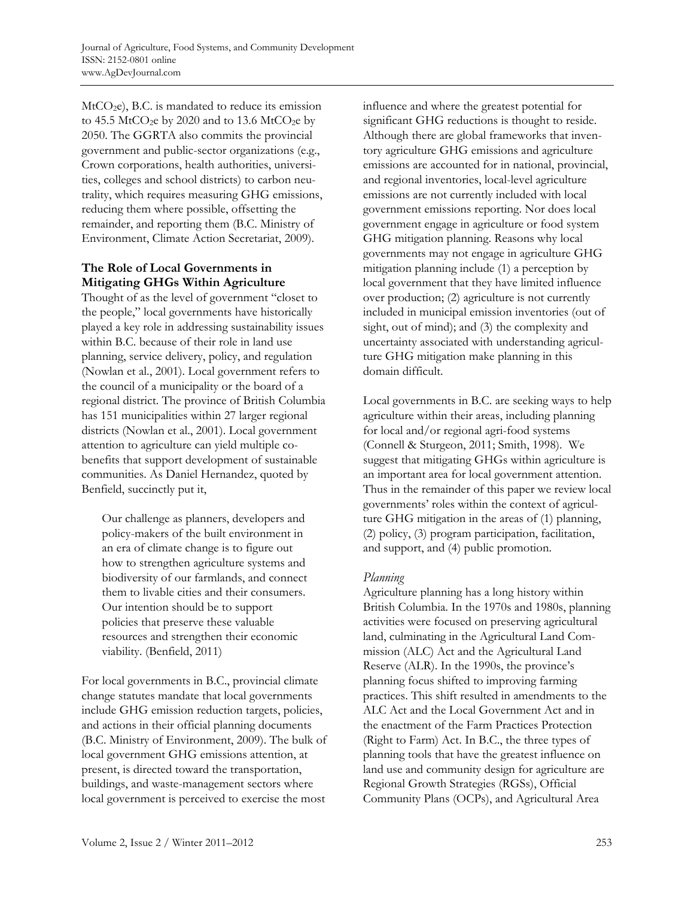$MtCO<sub>2</sub>e$ , B.C. is mandated to reduce its emission to  $45.5$  MtCO<sub>2</sub>e by 2020 and to 13.6 MtCO<sub>2</sub>e by 2050. The GGRTA also commits the provincial government and public-sector organizations (e.g., Crown corporations, health authorities, universities, colleges and school districts) to carbon neutrality, which requires measuring GHG emissions, reducing them where possible, offsetting the remainder, and reporting them (B.C. Ministry of Environment, Climate Action Secretariat, 2009).

# **The Role of Local Governments in Mitigating GHGs Within Agriculture**

Thought of as the level of government "closet to the people," local governments have historically played a key role in addressing sustainability issues within B.C. because of their role in land use planning, service delivery, policy, and regulation (Nowlan et al., 2001). Local government refers to the council of a municipality or the board of a regional district. The province of British Columbia has 151 municipalities within 27 larger regional districts (Nowlan et al., 2001). Local government attention to agriculture can yield multiple cobenefits that support development of sustainable communities. As Daniel Hernandez, quoted by Benfield, succinctly put it,

Our challenge as planners, developers and policy-makers of the built environment in an era of climate change is to figure out how to strengthen agriculture systems and biodiversity of our farmlands, and connect them to livable cities and their consumers. Our intention should be to support policies that preserve these valuable resources and strengthen their economic viability. (Benfield, 2011)

For local governments in B.C., provincial climate change statutes mandate that local governments include GHG emission reduction targets, policies, and actions in their official planning documents (B.C. Ministry of Environment, 2009). The bulk of local government GHG emissions attention, at present, is directed toward the transportation, buildings, and waste-management sectors where local government is perceived to exercise the most

influence and where the greatest potential for significant GHG reductions is thought to reside. Although there are global frameworks that inventory agriculture GHG emissions and agriculture emissions are accounted for in national, provincial, and regional inventories, local-level agriculture emissions are not currently included with local government emissions reporting. Nor does local government engage in agriculture or food system GHG mitigation planning. Reasons why local governments may not engage in agriculture GHG mitigation planning include (1) a perception by local government that they have limited influence over production; (2) agriculture is not currently included in municipal emission inventories (out of sight, out of mind); and (3) the complexity and uncertainty associated with understanding agriculture GHG mitigation make planning in this domain difficult.

Local governments in B.C. are seeking ways to help agriculture within their areas, including planning for local and/or regional agri-food systems (Connell & Sturgeon, 2011; Smith, 1998). We suggest that mitigating GHGs within agriculture is an important area for local government attention. Thus in the remainder of this paper we review local governments' roles within the context of agriculture GHG mitigation in the areas of (1) planning, (2) policy, (3) program participation, facilitation, and support, and (4) public promotion.

# *Planning*

Agriculture planning has a long history within British Columbia. In the 1970s and 1980s, planning activities were focused on preserving agricultural land, culminating in the Agricultural Land Commission (ALC) Act and the Agricultural Land Reserve (ALR). In the 1990s, the province's planning focus shifted to improving farming practices. This shift resulted in amendments to the ALC Act and the Local Government Act and in the enactment of the Farm Practices Protection (Right to Farm) Act. In B.C., the three types of planning tools that have the greatest influence on land use and community design for agriculture are Regional Growth Strategies (RGSs), Official Community Plans (OCPs), and Agricultural Area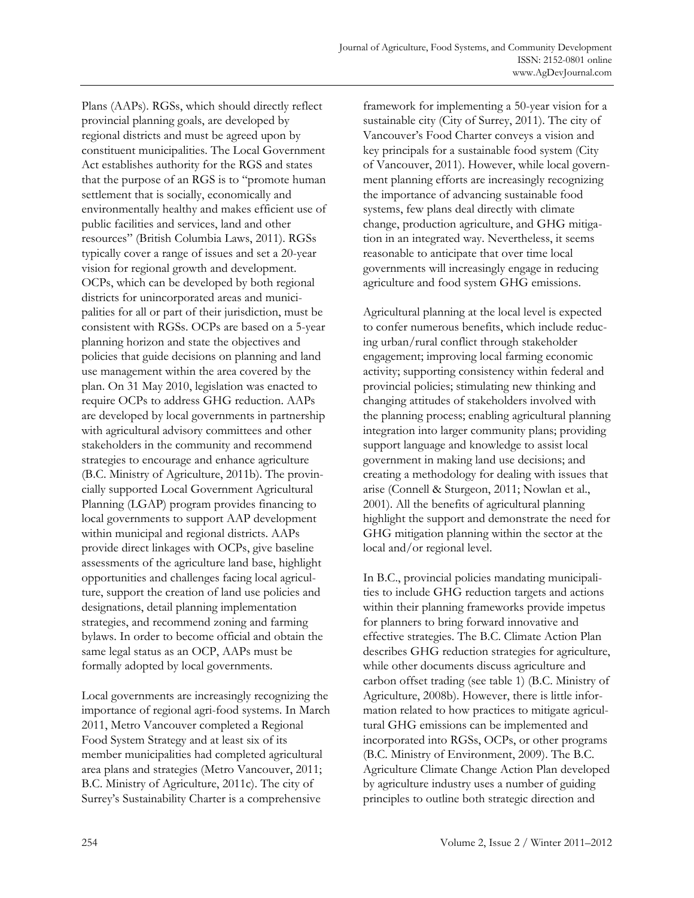Plans (AAPs). RGSs, which should directly reflect provincial planning goals, are developed by regional districts and must be agreed upon by constituent municipalities. The Local Government Act establishes authority for the RGS and states that the purpose of an RGS is to "promote human settlement that is socially, economically and environmentally healthy and makes efficient use of public facilities and services, land and other resources" (British Columbia Laws, 2011). RGSs typically cover a range of issues and set a 20-year vision for regional growth and development. OCPs, which can be developed by both regional districts for unincorporated areas and municipalities for all or part of their jurisdiction, must be consistent with RGSs. OCPs are based on a 5-year planning horizon and state the objectives and policies that guide decisions on planning and land use management within the area covered by the plan. On 31 May 2010, legislation was enacted to require OCPs to address GHG reduction. AAPs are developed by local governments in partnership with agricultural advisory committees and other stakeholders in the community and recommend strategies to encourage and enhance agriculture (B.C. Ministry of Agriculture, 2011b). The provincially supported Local Government Agricultural Planning (LGAP) program provides financing to local governments to support AAP development within municipal and regional districts. AAPs provide direct linkages with OCPs, give baseline assessments of the agriculture land base, highlight opportunities and challenges facing local agriculture, support the creation of land use policies and designations, detail planning implementation strategies, and recommend zoning and farming bylaws. In order to become official and obtain the same legal status as an OCP, AAPs must be formally adopted by local governments.

Local governments are increasingly recognizing the importance of regional agri-food systems. In March 2011, Metro Vancouver completed a Regional Food System Strategy and at least six of its member municipalities had completed agricultural area plans and strategies (Metro Vancouver, 2011; B.C. Ministry of Agriculture, 2011c). The city of Surrey's Sustainability Charter is a comprehensive

framework for implementing a 50-year vision for a sustainable city (City of Surrey, 2011). The city of Vancouver's Food Charter conveys a vision and key principals for a sustainable food system (City of Vancouver, 2011). However, while local government planning efforts are increasingly recognizing the importance of advancing sustainable food systems, few plans deal directly with climate change, production agriculture, and GHG mitigation in an integrated way. Nevertheless, it seems reasonable to anticipate that over time local governments will increasingly engage in reducing agriculture and food system GHG emissions.

Agricultural planning at the local level is expected to confer numerous benefits, which include reducing urban/rural conflict through stakeholder engagement; improving local farming economic activity; supporting consistency within federal and provincial policies; stimulating new thinking and changing attitudes of stakeholders involved with the planning process; enabling agricultural planning integration into larger community plans; providing support language and knowledge to assist local government in making land use decisions; and creating a methodology for dealing with issues that arise (Connell & Sturgeon, 2011; Nowlan et al., 2001). All the benefits of agricultural planning highlight the support and demonstrate the need for GHG mitigation planning within the sector at the local and/or regional level.

In B.C., provincial policies mandating municipalities to include GHG reduction targets and actions within their planning frameworks provide impetus for planners to bring forward innovative and effective strategies. The B.C. Climate Action Plan describes GHG reduction strategies for agriculture, while other documents discuss agriculture and carbon offset trading (see table 1) (B.C. Ministry of Agriculture, 2008b). However, there is little information related to how practices to mitigate agricultural GHG emissions can be implemented and incorporated into RGSs, OCPs, or other programs (B.C. Ministry of Environment, 2009). The B.C. Agriculture Climate Change Action Plan developed by agriculture industry uses a number of guiding principles to outline both strategic direction and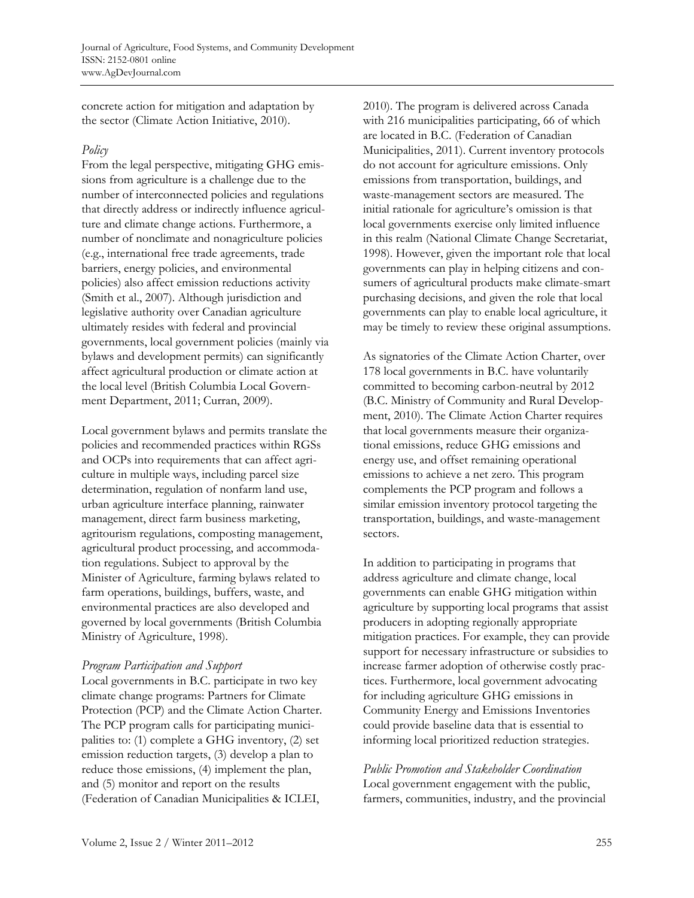concrete action for mitigation and adaptation by the sector (Climate Action Initiative, 2010).

### *Policy*

From the legal perspective, mitigating GHG emissions from agriculture is a challenge due to the number of interconnected policies and regulations that directly address or indirectly influence agriculture and climate change actions. Furthermore, a number of nonclimate and nonagriculture policies (e.g., international free trade agreements, trade barriers, energy policies, and environmental policies) also affect emission reductions activity (Smith et al., 2007). Although jurisdiction and legislative authority over Canadian agriculture ultimately resides with federal and provincial governments, local government policies (mainly via bylaws and development permits) can significantly affect agricultural production or climate action at the local level (British Columbia Local Government Department, 2011; Curran, 2009).

Local government bylaws and permits translate the policies and recommended practices within RGSs and OCPs into requirements that can affect agriculture in multiple ways, including parcel size determination, regulation of nonfarm land use, urban agriculture interface planning, rainwater management, direct farm business marketing, agritourism regulations, composting management, agricultural product processing, and accommodation regulations. Subject to approval by the Minister of Agriculture, farming bylaws related to farm operations, buildings, buffers, waste, and environmental practices are also developed and governed by local governments (British Columbia Ministry of Agriculture, 1998).

#### *Program Participation and Support*

Local governments in B.C. participate in two key climate change programs: Partners for Climate Protection (PCP) and the Climate Action Charter. The PCP program calls for participating municipalities to: (1) complete a GHG inventory, (2) set emission reduction targets, (3) develop a plan to reduce those emissions, (4) implement the plan, and (5) monitor and report on the results (Federation of Canadian Municipalities & ICLEI,

2010). The program is delivered across Canada with 216 municipalities participating, 66 of which are located in B.C. (Federation of Canadian Municipalities, 2011). Current inventory protocols do not account for agriculture emissions. Only emissions from transportation, buildings, and waste-management sectors are measured. The initial rationale for agriculture's omission is that local governments exercise only limited influence in this realm (National Climate Change Secretariat, 1998). However, given the important role that local governments can play in helping citizens and consumers of agricultural products make climate-smart purchasing decisions, and given the role that local governments can play to enable local agriculture, it may be timely to review these original assumptions.

As signatories of the Climate Action Charter, over 178 local governments in B.C. have voluntarily committed to becoming carbon-neutral by 2012 (B.C. Ministry of Community and Rural Development, 2010). The Climate Action Charter requires that local governments measure their organizational emissions, reduce GHG emissions and energy use, and offset remaining operational emissions to achieve a net zero. This program complements the PCP program and follows a similar emission inventory protocol targeting the transportation, buildings, and waste-management sectors.

In addition to participating in programs that address agriculture and climate change, local governments can enable GHG mitigation within agriculture by supporting local programs that assist producers in adopting regionally appropriate mitigation practices. For example, they can provide support for necessary infrastructure or subsidies to increase farmer adoption of otherwise costly practices. Furthermore, local government advocating for including agriculture GHG emissions in Community Energy and Emissions Inventories could provide baseline data that is essential to informing local prioritized reduction strategies.

*Public Promotion and Stakeholder Coordination*  Local government engagement with the public, farmers, communities, industry, and the provincial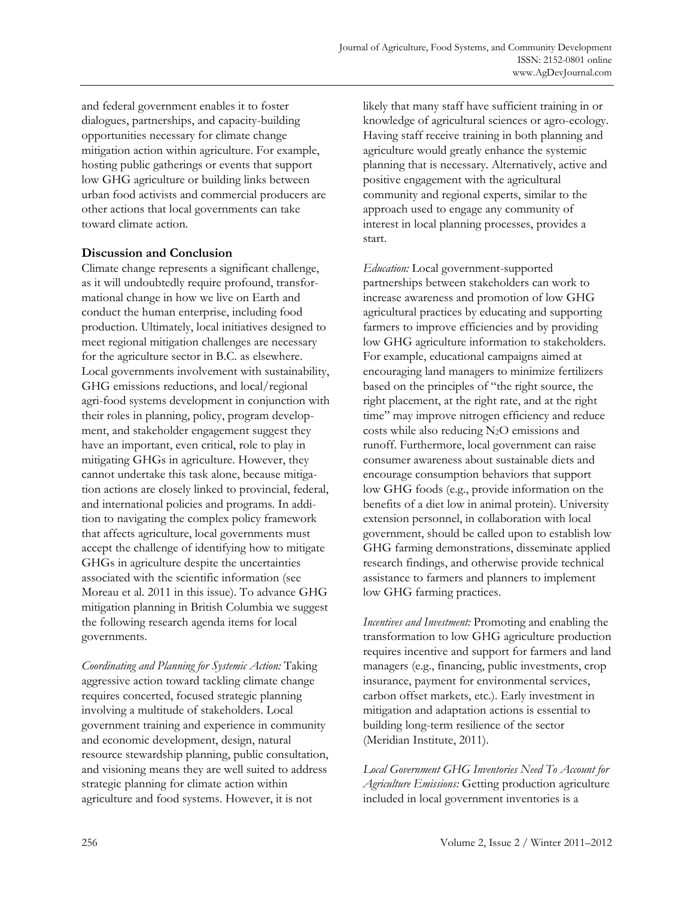and federal government enables it to foster dialogues, partnerships, and capacity-building opportunities necessary for climate change mitigation action within agriculture. For example, hosting public gatherings or events that support low GHG agriculture or building links between urban food activists and commercial producers are other actions that local governments can take toward climate action.

### **Discussion and Conclusion**

Climate change represents a significant challenge, as it will undoubtedly require profound, transformational change in how we live on Earth and conduct the human enterprise, including food production. Ultimately, local initiatives designed to meet regional mitigation challenges are necessary for the agriculture sector in B.C. as elsewhere. Local governments involvement with sustainability, GHG emissions reductions, and local/regional agri-food systems development in conjunction with their roles in planning, policy, program development, and stakeholder engagement suggest they have an important, even critical, role to play in mitigating GHGs in agriculture. However, they cannot undertake this task alone, because mitigation actions are closely linked to provincial, federal, and international policies and programs. In addition to navigating the complex policy framework that affects agriculture, local governments must accept the challenge of identifying how to mitigate GHGs in agriculture despite the uncertainties associated with the scientific information (see Moreau et al. 2011 in this issue). To advance GHG mitigation planning in British Columbia we suggest the following research agenda items for local governments.

*Coordinating and Planning for Systemic Action:* Taking aggressive action toward tackling climate change requires concerted, focused strategic planning involving a multitude of stakeholders. Local government training and experience in community and economic development, design, natural resource stewardship planning, public consultation, and visioning means they are well suited to address strategic planning for climate action within agriculture and food systems. However, it is not

likely that many staff have sufficient training in or knowledge of agricultural sciences or agro-ecology. Having staff receive training in both planning and agriculture would greatly enhance the systemic planning that is necessary. Alternatively, active and positive engagement with the agricultural community and regional experts, similar to the approach used to engage any community of interest in local planning processes, provides a start.

*Education:* Local government-supported partnerships between stakeholders can work to increase awareness and promotion of low GHG agricultural practices by educating and supporting farmers to improve efficiencies and by providing low GHG agriculture information to stakeholders. For example, educational campaigns aimed at encouraging land managers to minimize fertilizers based on the principles of "the right source, the right placement, at the right rate, and at the right time" may improve nitrogen efficiency and reduce costs while also reducing N2O emissions and runoff. Furthermore, local government can raise consumer awareness about sustainable diets and encourage consumption behaviors that support low GHG foods (e.g., provide information on the benefits of a diet low in animal protein). University extension personnel, in collaboration with local government, should be called upon to establish low GHG farming demonstrations, disseminate applied research findings, and otherwise provide technical assistance to farmers and planners to implement low GHG farming practices.

*Incentives and Investment:* Promoting and enabling the transformation to low GHG agriculture production requires incentive and support for farmers and land managers (e.g., financing, public investments, crop insurance, payment for environmental services, carbon offset markets, etc.). Early investment in mitigation and adaptation actions is essential to building long-term resilience of the sector (Meridian Institute, 2011).

*Local Government GHG Inventories Need To Account for Agriculture Emissions:* Getting production agriculture included in local government inventories is a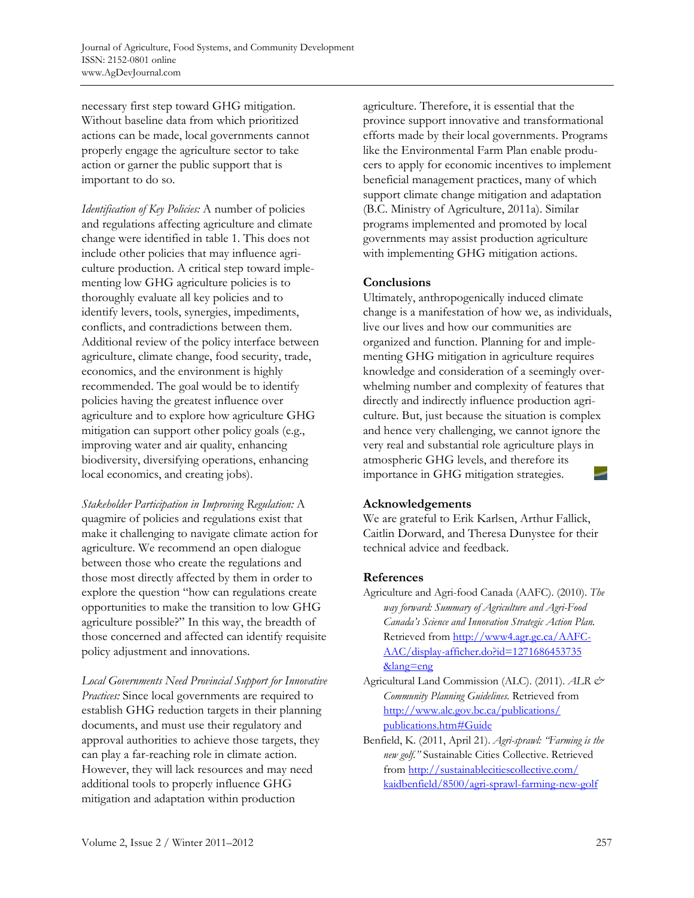necessary first step toward GHG mitigation. Without baseline data from which prioritized actions can be made, local governments cannot properly engage the agriculture sector to take action or garner the public support that is important to do so.

*Identification of Key Policies:* A number of policies and regulations affecting agriculture and climate change were identified in table 1. This does not include other policies that may influence agriculture production. A critical step toward implementing low GHG agriculture policies is to thoroughly evaluate all key policies and to identify levers, tools, synergies, impediments, conflicts, and contradictions between them. Additional review of the policy interface between agriculture, climate change, food security, trade, economics, and the environment is highly recommended. The goal would be to identify policies having the greatest influence over agriculture and to explore how agriculture GHG mitigation can support other policy goals (e.g., improving water and air quality, enhancing biodiversity, diversifying operations, enhancing local economics, and creating jobs).

*Stakeholder Participation in Improving Regulation:* A quagmire of policies and regulations exist that make it challenging to navigate climate action for agriculture. We recommend an open dialogue between those who create the regulations and those most directly affected by them in order to explore the question "how can regulations create opportunities to make the transition to low GHG agriculture possible?" In this way, the breadth of those concerned and affected can identify requisite policy adjustment and innovations.

*Local Governments Need Provincial Support for Innovative Practices:* Since local governments are required to establish GHG reduction targets in their planning documents, and must use their regulatory and approval authorities to achieve those targets, they can play a far-reaching role in climate action. However, they will lack resources and may need additional tools to properly influence GHG mitigation and adaptation within production

agriculture. Therefore, it is essential that the province support innovative and transformational efforts made by their local governments. Programs like the Environmental Farm Plan enable producers to apply for economic incentives to implement beneficial management practices, many of which support climate change mitigation and adaptation (B.C. Ministry of Agriculture, 2011a). Similar programs implemented and promoted by local governments may assist production agriculture with implementing GHG mitigation actions.

# **Conclusions**

Ultimately, anthropogenically induced climate change is a manifestation of how we, as individuals, live our lives and how our communities are organized and function. Planning for and implementing GHG mitigation in agriculture requires knowledge and consideration of a seemingly overwhelming number and complexity of features that directly and indirectly influence production agriculture. But, just because the situation is complex and hence very challenging, we cannot ignore the very real and substantial role agriculture plays in atmospheric GHG levels, and therefore its importance in GHG mitigation strategies.

# **Acknowledgements**

We are grateful to Erik Karlsen, Arthur Fallick, Caitlin Dorward, and Theresa Dunystee for their technical advice and feedback.

# **References**

Agriculture and Agri-food Canada (AAFC). (2010). *The way forward: Summary of Agriculture and Agri-Food Canada's Science and Innovation Strategic Action Plan.*  [Retrieved from http://www4.agr.gc.ca/AAFC-](http://www4.agr.gc.ca/AAFC-AAC/display-afficher.do?id=1271686453735&lang=eng)AAC/display-afficher.do?id=1271686453735 &lang=eng

- Agricultural Land Commission (ALC). (2011). *ALR & Community Planning Guidelines.* Retrieved from [http://www.alc.gov.bc.ca/publications/](http://www.alc.gov.bc.ca/publications/publications.htm#Guide)  publications.htm#Guide
- Benfield, K. (2011, April 21). *Agri-sprawl: "Farming is the new golf."* Sustainable Cities Collective. Retrieved from http://sustainablecitiescollective.com/ [kaidbenfield/8500/agri-sprawl-farming-new-golf](http://sustainablecitiescollective.com/kaidbenfield/8500/agri-sprawl-farming-new-golf)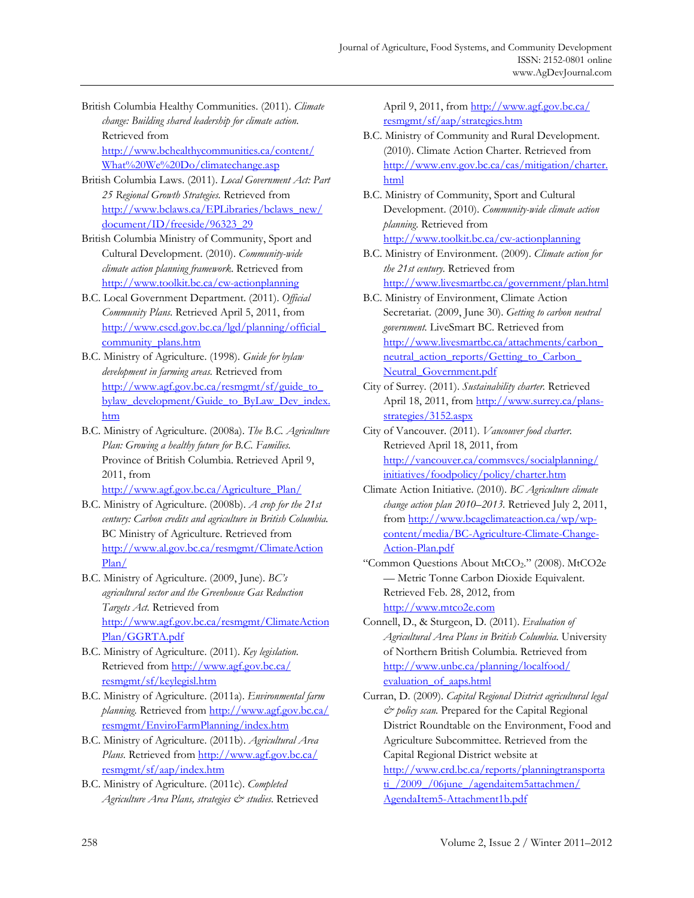- British Columbia Healthy Communities. (2011). *Climate change: Building shared leadership for climate action.* Retrieved from [http://www.bchealthycommunities.ca/content/](http://www.bchealthycommunities.ca/content/What%20We%20Do/climatechange.asp) What%20We%20Do/climatechange.asp
- British Columbia Laws. (2011). *Local Government Act: Part 25 Regional Growth Strategies.* Retrieved from [http://www.bclaws.ca/EPLibraries/bclaws\\_new/](http://www.bclaws.ca/EPLibraries/bclaws_new/document/ID/freeside/96323_29)  document/ID/freeside/96323\_29
- British Columbia Ministry of Community, Sport and Cultural Development. (2010). *Community-wide climate action planning framework*. Retrieved from http://www.toolkit.bc.ca/cw-actionplanning
- B.C. Local Government Department. (2011). *Official Community Plans.* Retrieved April 5, 2011, from [http://www.cscd.gov.bc.ca/lgd/planning/official\\_](http://www.cscd.gov.bc.ca/lgd/planning/official_community_plans.htm) community\_plans.htm
- B.C. Ministry of Agriculture. (1998). *Guide for bylaw development in farming areas.* Retrieved from http://www.agf.gov.bc.ca/resmgmt/sf/guide\_to\_ [bylaw\\_development/Guide\\_to\\_ByLaw\\_Dev\\_index.](http://www.agf.gov.bc.ca/resmgmt/sf/guide_to_bylaw_development/Guide_to_ByLaw_Dev_index.htm) htm
- B.C. Ministry of Agriculture. (2008a). *The B.C. Agriculture Plan: Growing a healthy future for B.C. Families.* Province of British Columbia. Retrieved April 9, 2011, from http://www.agf.gov.bc.ca/Agriculture\_Plan/
- B.C. Ministry of Agriculture. (2008b). *A crop for the 21st century: Carbon credits and agriculture in British Columbia.*  BC Ministry of Agriculture. Retrieved from [http://www.al.gov.bc.ca/resmgmt/ClimateAction](http://www.al.gov.bc.ca/resmgmt/ClimateActionPlan/) Plan/
- B.C. Ministry of Agriculture. (2009, June). *BC's agricultural sector and the Greenhouse Gas Reduction Targets Act.* Retrieved from [http://www.agf.gov.bc.ca/resmgmt/ClimateAction](http://www.agf.gov.bc.ca/resmgmt/ClimateActionPlan/GGRTA.pdf) Plan/GGRTA.pdf
- B.C. Ministry of Agriculture. (2011). *Key legislation.* [Retrieved from http://www.agf.gov.bc.ca/](http://www.agf.gov.bc.ca/resmgmt/sf/keylegisl.htm)  resmgmt/sf/keylegisl.htm
- B.C. Ministry of Agriculture. (2011a). *Environmental farm planning.* Retrieved from http://www.agf.gov.bc.ca/ [resmgmt/EnviroFarmPlanning/index.htm](http://www.agf.gov.bc.ca/resmgmt/EnviroFarmPlanning/index.htm)
- B.C. Ministry of Agriculture. (2011b). *Agricultural Area*  Plans. [Retrieved from http://www.agf.gov.bc.ca/](http://www.agf.gov.bc.ca/resmgmt/sf/aap/index.htm) resmgmt/sf/aap/index.htm
- B.C. Ministry of Agriculture. (2011c). *Completed Agriculture Area Plans, strategies & studies.* Retrieved

April 9, 2011, from http://www.agf.gov.bc.ca/ resmgmt/sf/aap/strategies.htm

- B.C. Ministry of Community and Rural Development. (2010). Climate Action Charter. Retrieved from [http://www.env.gov.bc.ca/cas/mitigation/charter.](http://www.env.gov.bc.ca/cas/mitigation/charter.html) html
- B.C. Ministry of Community, Sport and Cultural Development. (2010). *Community-wide climate action planning*. Retrieved from http://www.toolkit.bc.ca/cw-actionplanning
- B.C. Ministry of Environment. (2009). *Climate action for the 21st century.* Retrieved from http://www.livesmartbc.ca/government/plan.html
- B.C. Ministry of Environment, Climate Action Secretariat. (2009, June 30). *Getting to carbon neutral government.* LiveSmart BC. Retrieved from [http://www.livesmartbc.ca/attachments/carbon\\_](http://www.livesmartbc.ca/attachments/carbon_neutral_action_reports/Getting_to_Carbon_Neutral_Government.pdf) neutral action reports/Getting to Carbon Neutral\_Government.pdf
- City of Surrey. (2011). *Sustainability charter.* Retrieved April 18, 2011, from http://www.surrey.ca/plansstrategies/3152.aspx
- City of Vancouver. (2011). *Vancouver food charter.* Retrieved April 18, 2011, from [http://vancouver.ca/commsvcs/socialplanning/](http://vancouver.ca/commsvcs/socialplanning/initiatives/foodpolicy/policy/charter.htm) initiatives/foodpolicy/policy/charter.htm
- Climate Action Initiative. (2010). *BC Agriculture climate change action plan 2010–2013.* Retrieved July 2, 2011, from http://www.bcagclimateaction.ca/wp/wpcontent/media/BC-Agriculture-Climate-Change-Action-Plan.pdf
- "Common Questions About MtCO<sub>2</sub>." (2008). MtCO2e — Metric Tonne Carbon Dioxide Equivalent. Retrieved Feb. 28, 2012, from http://www.mtco2e.com
- Connell, D., & Sturgeon, D. (2011). *Evaluation of Agricultural Area Plans in British Columbia.* University of Northern British Columbia. Retrieved from [http://www.unbc.ca/planning/localfood/](http://www.unbc.ca/planning/localfood/evaluation_of_aaps.html) evaluation\_of\_aaps.html
- Curran, D. (2009). *Capital Regional District agricultural legal & policy scan.* Prepared for the Capital Regional District Roundtable on the Environment, Food and Agriculture Subcommittee. Retrieved from the Capital Regional District website at

[http://www.crd.bc.ca/reports/planningtransporta](http://www.crd.bc.ca/reports/planningtransportati_/2009_/06june_/agendaitem5attachmen/AgendaItem5-Attachment1b.pdf)  ti /2009 /06june /agendaitem5attachmen/ AgendaItem5-Attachment1b.pdf